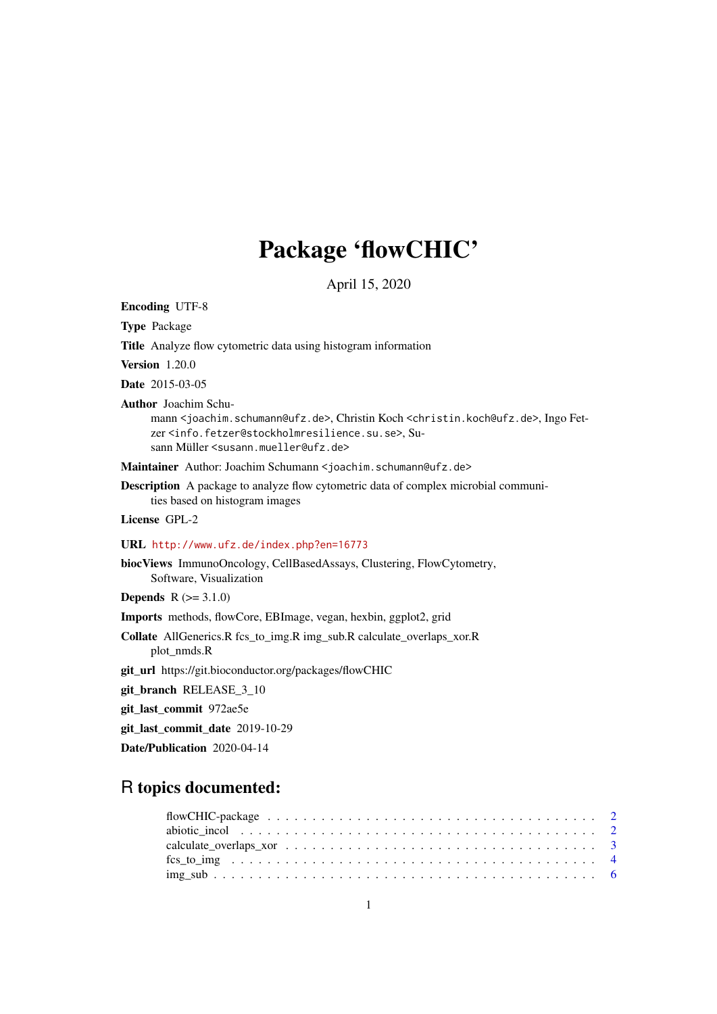# Package 'flowCHIC'

April 15, 2020

<span id="page-0-0"></span>Encoding UTF-8

Type Package

Title Analyze flow cytometric data using histogram information

Version 1.20.0

Date 2015-03-05

Author Joachim Schu-

mann <joachim.schumann@ufz.de>, Christin Koch <christin.koch@ufz.de>, Ingo Fetzer <info.fetzer@stockholmresilience.su.se>, Susann Müller <susann.mueller@ufz.de>

Maintainer Author: Joachim Schumann <joachim.schumann@ufz.de>

Description A package to analyze flow cytometric data of complex microbial communities based on histogram images

License GPL-2

URL <http://www.ufz.de/index.php?en=16773>

biocViews ImmunoOncology, CellBasedAssays, Clustering, FlowCytometry, Software, Visualization

**Depends**  $R (= 3.1.0)$ 

Imports methods, flowCore, EBImage, vegan, hexbin, ggplot2, grid

Collate AllGenerics.R fcs\_to\_img.R img\_sub.R calculate\_overlaps\_xor.R plot\_nmds.R

git\_url https://git.bioconductor.org/packages/flowCHIC

git\_branch RELEASE\_3\_10

git\_last\_commit 972ae5e

git\_last\_commit\_date 2019-10-29

Date/Publication 2020-04-14

# R topics documented: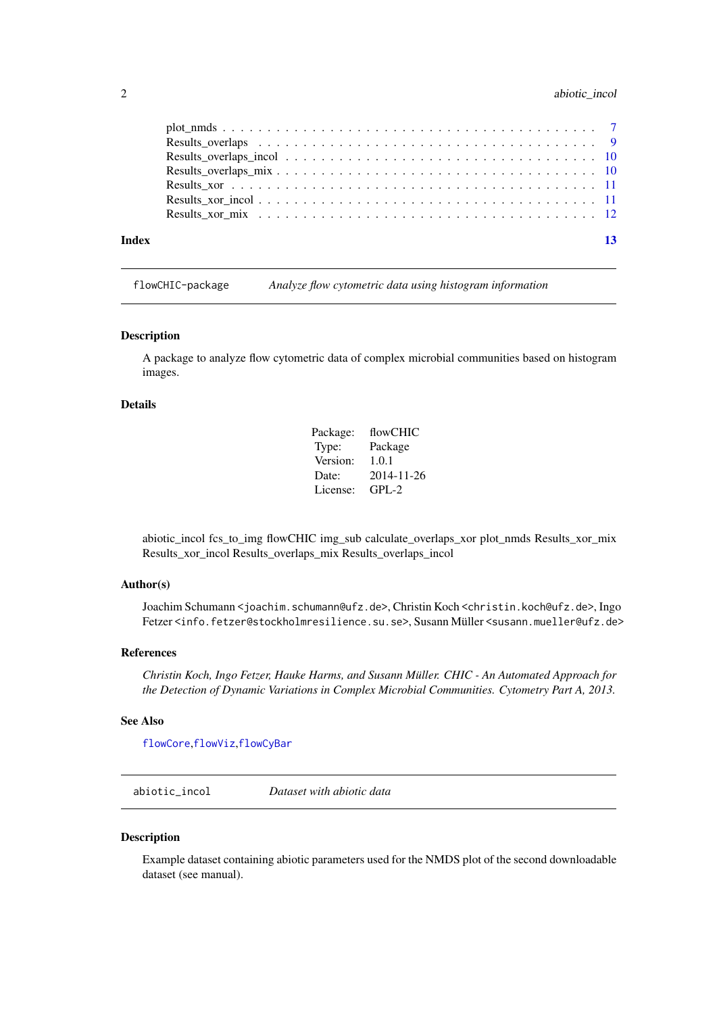# <span id="page-1-0"></span>2 abiotic\_incol

| Index | 13 |
|-------|----|

flowCHIC-package *Analyze flow cytometric data using histogram information*

# Description

A package to analyze flow cytometric data of complex microbial communities based on histogram images.

# Details

| Package: | flowCHIC   |
|----------|------------|
| Type:    | Package    |
| Version: | 1.0.1      |
| Date:    | 2014-11-26 |
| License: | $GPL-2$    |

abiotic\_incol fcs\_to\_img flowCHIC img\_sub calculate\_overlaps\_xor plot\_nmds Results\_xor\_mix Results\_xor\_incol Results\_overlaps\_mix Results\_overlaps\_incol

# Author(s)

Joachim Schumann <joachim.schumann@ufz.de>, Christin Koch <christin.koch@ufz.de>, Ingo Fetzer <info.fetzer@stockholmresilience.su.se>, Susann Müller <susann.mueller@ufz.de>

# References

*Christin Koch, Ingo Fetzer, Hauke Harms, and Susann Müller. CHIC - An Automated Approach for the Detection of Dynamic Variations in Complex Microbial Communities. Cytometry Part A, 2013.*

# See Also

[flowCore](#page-0-0),[flowViz](#page-0-0),[flowCyBar](#page-0-0)

abiotic\_incol *Dataset with abiotic data*

#### Description

Example dataset containing abiotic parameters used for the NMDS plot of the second downloadable dataset (see manual).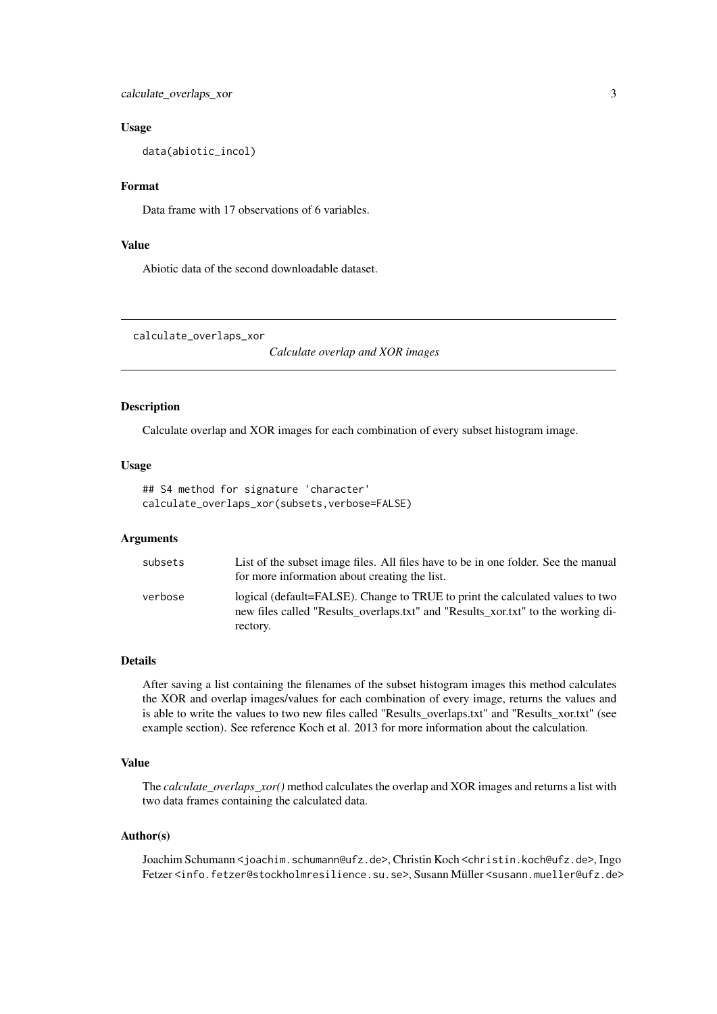<span id="page-2-0"></span>calculate\_overlaps\_xor 3

## Usage

data(abiotic\_incol)

# Format

Data frame with 17 observations of 6 variables.

# Value

Abiotic data of the second downloadable dataset.

calculate\_overlaps\_xor

*Calculate overlap and XOR images*

# Description

Calculate overlap and XOR images for each combination of every subset histogram image.

#### Usage

## S4 method for signature 'character' calculate\_overlaps\_xor(subsets,verbose=FALSE)

# Arguments

| subsets | List of the subset image files. All files have to be in one folder. See the manual<br>for more information about creating the list.                                           |
|---------|-------------------------------------------------------------------------------------------------------------------------------------------------------------------------------|
| verbose | logical (default=FALSE). Change to TRUE to print the calculated values to two<br>new files called "Results_overlaps.txt" and "Results_xor.txt" to the working di-<br>rectory. |

# Details

After saving a list containing the filenames of the subset histogram images this method calculates the XOR and overlap images/values for each combination of every image, returns the values and is able to write the values to two new files called "Results overlaps.txt" and "Results xor.txt" (see example section). See reference Koch et al. 2013 for more information about the calculation.

# Value

The *calculate\_overlaps\_xor()* method calculates the overlap and XOR images and returns a list with two data frames containing the calculated data.

# Author(s)

Joachim Schumann <joachim.schumann@ufz.de>, Christin Koch <christin.koch@ufz.de>, Ingo Fetzer <info.fetzer@stockholmresilience.su.se>, Susann Müller <susann.mueller@ufz.de>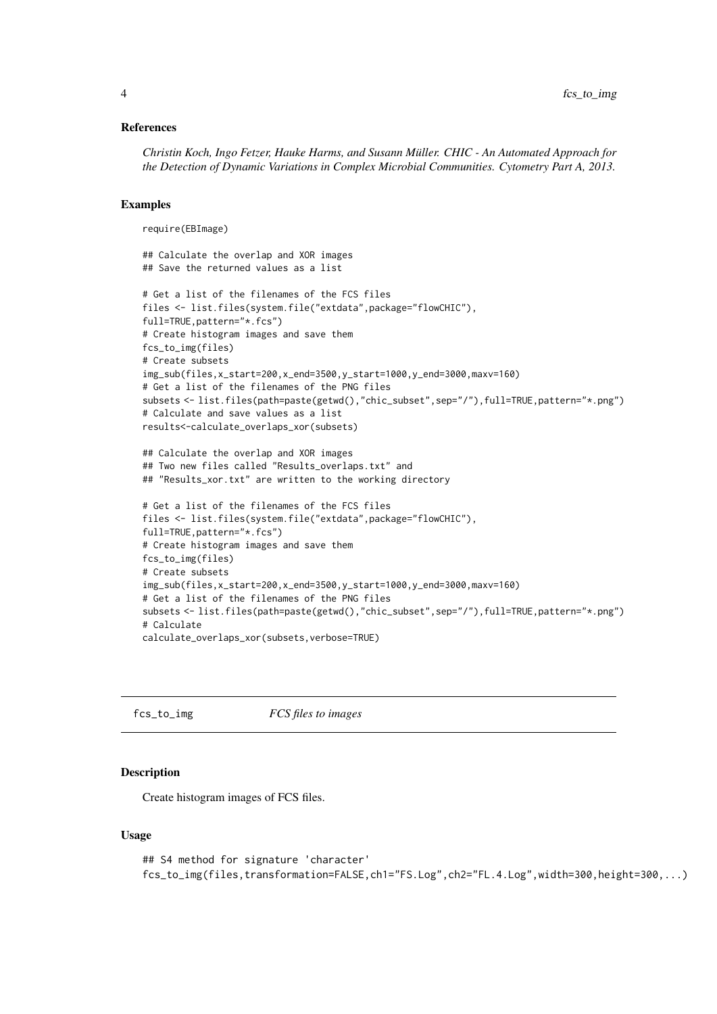## <span id="page-3-0"></span>References

*Christin Koch, Ingo Fetzer, Hauke Harms, and Susann Müller. CHIC - An Automated Approach for the Detection of Dynamic Variations in Complex Microbial Communities. Cytometry Part A, 2013.*

# Examples

```
require(EBImage)
```

```
## Calculate the overlap and XOR images
## Save the returned values as a list
# Get a list of the filenames of the FCS files
files <- list.files(system.file("extdata",package="flowCHIC"),
full=TRUE,pattern="*.fcs")
# Create histogram images and save them
fcs_to_img(files)
# Create subsets
img_sub(files,x_start=200,x_end=3500,y_start=1000,y_end=3000,maxv=160)
# Get a list of the filenames of the PNG files
subsets <- list.files(path=paste(getwd(),"chic_subset",sep="/"),full=TRUE,pattern="*.png")
# Calculate and save values as a list
results<-calculate_overlaps_xor(subsets)
## Calculate the overlap and XOR images
## Two new files called "Results_overlaps.txt" and
## "Results_xor.txt" are written to the working directory
# Get a list of the filenames of the FCS files
files <- list.files(system.file("extdata",package="flowCHIC"),
full=TRUE,pattern="*.fcs")
# Create histogram images and save them
fcs_to_img(files)
# Create subsets
img_sub(files,x_start=200,x_end=3500,y_start=1000,y_end=3000,maxv=160)
# Get a list of the filenames of the PNG files
```
subsets <- list.files(path=paste(getwd(),"chic\_subset",sep="/"),full=TRUE,pattern="\*.png") # Calculate

calculate\_overlaps\_xor(subsets,verbose=TRUE)

fcs\_to\_img *FCS files to images*

# Description

Create histogram images of FCS files.

# Usage

```
## S4 method for signature 'character'
fcs_to_img(files,transformation=FALSE,ch1="FS.Log",ch2="FL.4.Log",width=300,height=300,...)
```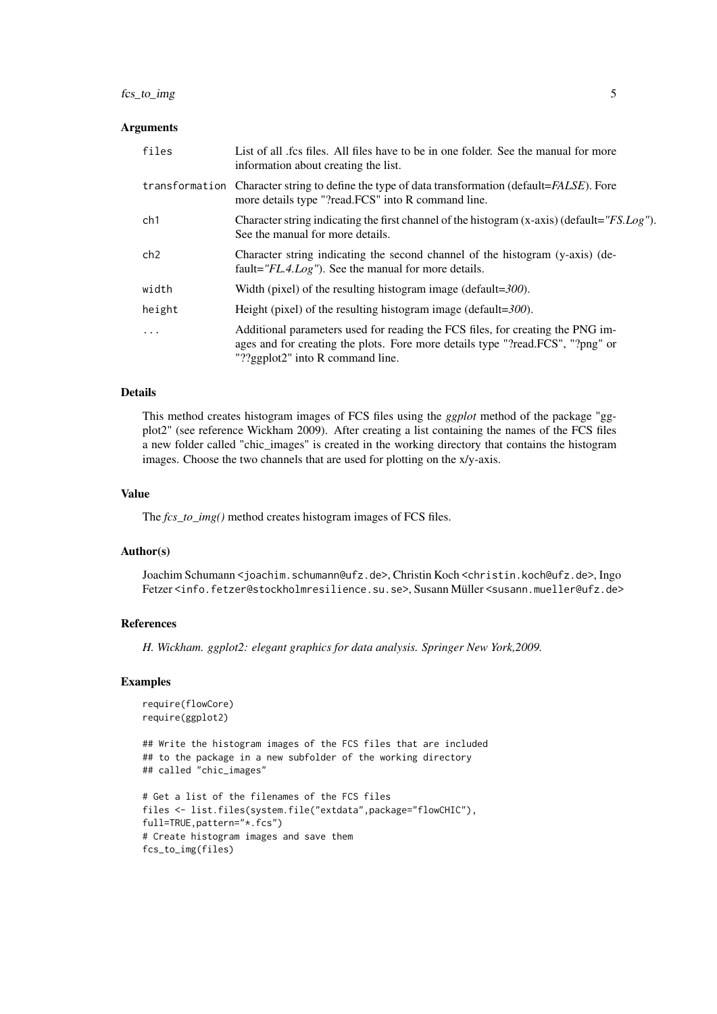## fcs\_to\_img 5

# Arguments

| files           | List of all .fcs files. All files have to be in one folder. See the manual for more<br>information about creating the list.                                                                          |
|-----------------|------------------------------------------------------------------------------------------------------------------------------------------------------------------------------------------------------|
|                 | transformation Character string to define the type of data transformation (default=FALSE). Fore<br>more details type "?read.FCS" into R command line.                                                |
| ch1             | Character string indicating the first channel of the histogram $(x-axis)$ (default="FS.Log").<br>See the manual for more details.                                                                    |
| ch <sub>2</sub> | Character string indicating the second channel of the histogram (y-axis) (de-<br>fault=" $FL.4.Log$ "). See the manual for more details.                                                             |
| width           | Width (pixel) of the resulting histogram image (default= $300$ ).                                                                                                                                    |
| height          | Height (pixel) of the resulting histogram image (default= $300$ ).                                                                                                                                   |
| $\ddots$ .      | Additional parameters used for reading the FCS files, for creating the PNG im-<br>ages and for creating the plots. Fore more details type "?read.FCS", "?png" or<br>"??ggplot2" into R command line. |

# Details

This method creates histogram images of FCS files using the *ggplot* method of the package "ggplot2" (see reference Wickham 2009). After creating a list containing the names of the FCS files a new folder called "chic\_images" is created in the working directory that contains the histogram images. Choose the two channels that are used for plotting on the x/y-axis.

# Value

The *fcs\_to\_img()* method creates histogram images of FCS files.

# Author(s)

Joachim Schumann <joachim.schumann@ufz.de>, Christin Koch <christin.koch@ufz.de>, Ingo Fetzer <info.fetzer@stockholmresilience.su.se>, Susann Müller <susann.mueller@ufz.de>

# References

*H. Wickham. ggplot2: elegant graphics for data analysis. Springer New York,2009.*

# Examples

```
require(flowCore)
require(ggplot2)
```
## Write the histogram images of the FCS files that are included ## to the package in a new subfolder of the working directory ## called "chic\_images"

```
# Get a list of the filenames of the FCS files
files <- list.files(system.file("extdata",package="flowCHIC"),
full=TRUE,pattern="*.fcs")
# Create histogram images and save them
fcs_to_img(files)
```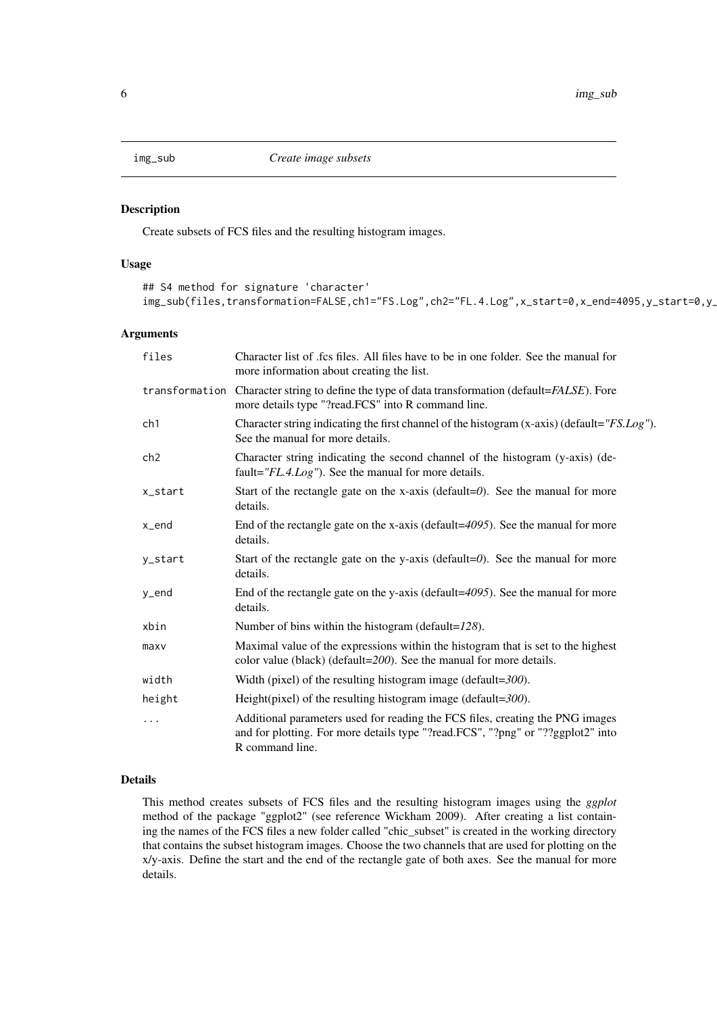<span id="page-5-0"></span>

# Description

Create subsets of FCS files and the resulting histogram images.

# Usage

```
## S4 method for signature 'character'
img_sub(files,transformation=FALSE,ch1="FS.Log",ch2="FL.4.Log",x_start=0,x_end=4095,y_start=0,y_
```
# Arguments

| files           | Character list of .fcs files. All files have to be in one folder. See the manual for<br>more information about creating the list.                                                   |
|-----------------|-------------------------------------------------------------------------------------------------------------------------------------------------------------------------------------|
|                 | transformation Character string to define the type of data transformation (default=FALSE). Fore<br>more details type "?read.FCS" into R command line.                               |
| ch1             | Character string indicating the first channel of the histogram $(x-axis)$ (default="FS.Log").<br>See the manual for more details.                                                   |
| ch <sub>2</sub> | Character string indicating the second channel of the histogram (y-axis) (de-<br>fault=" $FL.4.Log$ "). See the manual for more details.                                            |
| x_start         | Start of the rectangle gate on the x-axis (default=0). See the manual for more<br>details.                                                                                          |
| x_end           | End of the rectangle gate on the x-axis (default= $4095$ ). See the manual for more<br>details.                                                                                     |
| y_start         | Start of the rectangle gate on the y-axis (default= $0$ ). See the manual for more<br>details.                                                                                      |
| y_end           | End of the rectangle gate on the y-axis (default= $4095$ ). See the manual for more<br>details.                                                                                     |
| xbin            | Number of bins within the histogram (default= $128$ ).                                                                                                                              |
| maxv            | Maximal value of the expressions within the histogram that is set to the highest<br>color value (black) (default=200). See the manual for more details.                             |
| width           | Width (pixel) of the resulting histogram image (default= $300$ ).                                                                                                                   |
| height          | Height(pixel) of the resulting histogram image (default= $300$ ).                                                                                                                   |
| $\cdots$        | Additional parameters used for reading the FCS files, creating the PNG images<br>and for plotting. For more details type "?read.FCS", "?png" or "??ggplot2" into<br>R command line. |

# Details

This method creates subsets of FCS files and the resulting histogram images using the *ggplot* method of the package "ggplot2" (see reference Wickham 2009). After creating a list containing the names of the FCS files a new folder called "chic\_subset" is created in the working directory that contains the subset histogram images. Choose the two channels that are used for plotting on the x/y-axis. Define the start and the end of the rectangle gate of both axes. See the manual for more details.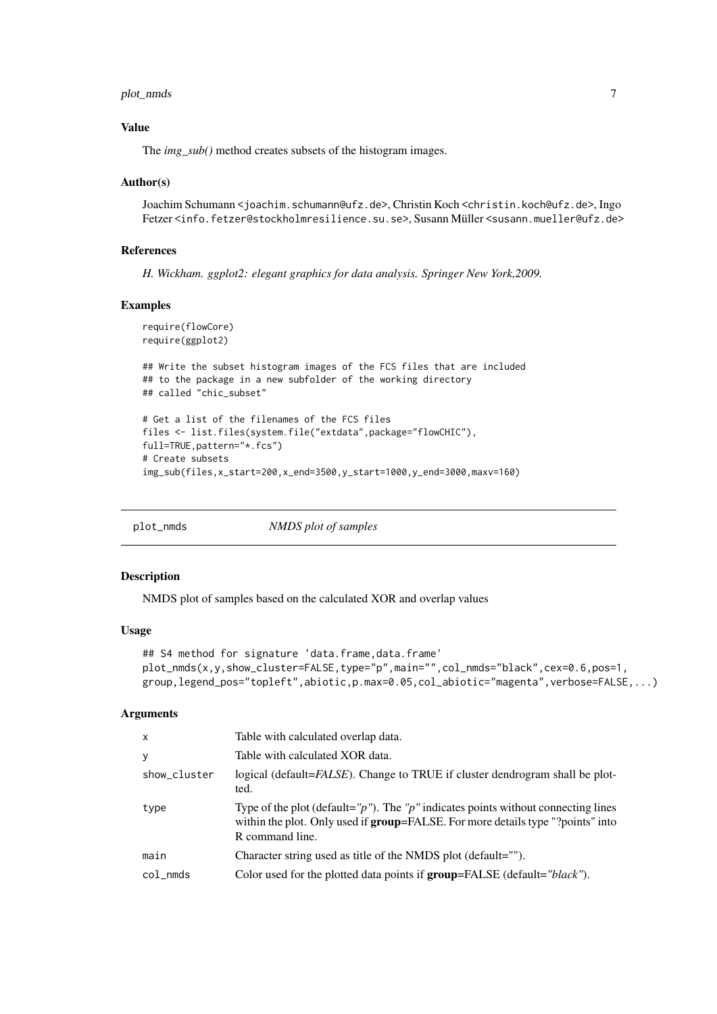#### <span id="page-6-0"></span>plot\_nmds 7

## Value

The *img\_sub()* method creates subsets of the histogram images.

### Author(s)

Joachim Schumann <joachim.schumann@ufz.de>, Christin Koch <christin.koch@ufz.de>, Ingo Fetzer <info.fetzer@stockholmresilience.su.se>, Susann Müller <susann.mueller@ufz.de>

# References

*H. Wickham. ggplot2: elegant graphics for data analysis. Springer New York,2009.*

#### Examples

```
require(flowCore)
require(ggplot2)
## Write the subset histogram images of the FCS files that are included
## to the package in a new subfolder of the working directory
## called "chic_subset"
# Get a list of the filenames of the FCS files
files <- list.files(system.file("extdata",package="flowCHIC"),
full=TRUE,pattern="*.fcs")
# Create subsets
img_sub(files,x_start=200,x_end=3500,y_start=1000,y_end=3000,maxv=160)
```

| plot_nmds | NMDS plot of samples |
|-----------|----------------------|
|           |                      |

# Description

NMDS plot of samples based on the calculated XOR and overlap values

# Usage

```
## S4 method for signature 'data.frame, data.frame'
plot_nmds(x,y,show_cluster=FALSE,type="p",main="",col_nmds="black",cex=0.6,pos=1,
group,legend_pos="topleft",abiotic,p.max=0.05,col_abiotic="magenta",verbose=FALSE,...)
```
#### Arguments

| $\mathsf{x}$ | Table with calculated overlap data.                                                                                                                                                                     |
|--------------|---------------------------------------------------------------------------------------------------------------------------------------------------------------------------------------------------------|
| У            | Table with calculated XOR data.                                                                                                                                                                         |
| show_cluster | logical (default=FALSE). Change to TRUE if cluster dendrogram shall be plot-<br>ted.                                                                                                                    |
| type         | Type of the plot (default=" $p$ "). The " $p$ " indicates points without connecting lines<br>within the plot. Only used if <b>group=FALSE</b> . For more details type "?points" into<br>R command line. |
| main         | Character string used as title of the NMDS plot (default="").                                                                                                                                           |
| col nmds     | Color used for the plotted data points if <b>group=FALSE</b> (default="black").                                                                                                                         |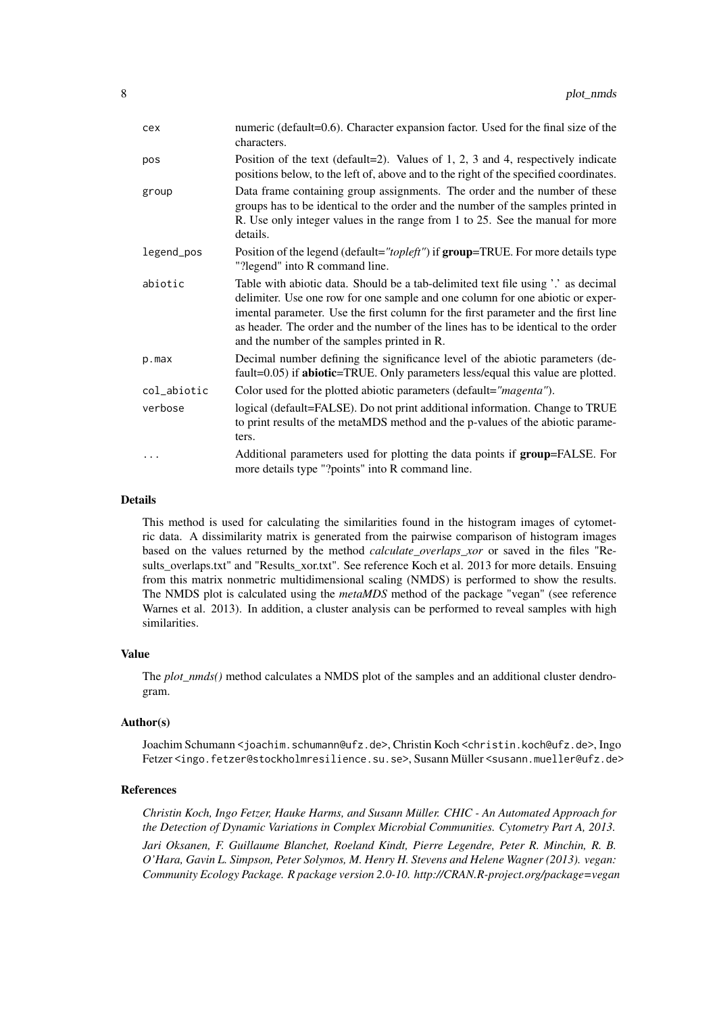| cex         | numeric (default=0.6). Character expansion factor. Used for the final size of the<br>characters.                                                                                                                                                                                                                                                                                              |
|-------------|-----------------------------------------------------------------------------------------------------------------------------------------------------------------------------------------------------------------------------------------------------------------------------------------------------------------------------------------------------------------------------------------------|
| pos         | Position of the text (default=2). Values of 1, 2, 3 and 4, respectively indicate<br>positions below, to the left of, above and to the right of the specified coordinates.                                                                                                                                                                                                                     |
| group       | Data frame containing group assignments. The order and the number of these<br>groups has to be identical to the order and the number of the samples printed in<br>R. Use only integer values in the range from 1 to 25. See the manual for more<br>details.                                                                                                                                   |
| legend_pos  | Position of the legend (default="topleft") if group=TRUE. For more details type<br>"?legend" into R command line.                                                                                                                                                                                                                                                                             |
| abiotic     | Table with abiotic data. Should be a tab-delimited text file using '.' as decimal<br>delimiter. Use one row for one sample and one column for one abiotic or exper-<br>imental parameter. Use the first column for the first parameter and the first line<br>as header. The order and the number of the lines has to be identical to the order<br>and the number of the samples printed in R. |
| p.max       | Decimal number defining the significance level of the abiotic parameters (de-<br>fault=0.05) if <b>abiotic</b> =TRUE. Only parameters less/equal this value are plotted.                                                                                                                                                                                                                      |
| col_abiotic | Color used for the plotted abiotic parameters (default="magenta").                                                                                                                                                                                                                                                                                                                            |
| verbose     | logical (default=FALSE). Do not print additional information. Change to TRUE<br>to print results of the metaMDS method and the p-values of the abiotic parame-<br>ters.                                                                                                                                                                                                                       |
| .           | Additional parameters used for plotting the data points if group=FALSE. For<br>more details type "?points" into R command line.                                                                                                                                                                                                                                                               |

#### Details

This method is used for calculating the similarities found in the histogram images of cytometric data. A dissimilarity matrix is generated from the pairwise comparison of histogram images based on the values returned by the method *calculate\_overlaps\_xor* or saved in the files "Results\_overlaps.txt" and "Results\_xor.txt". See reference Koch et al. 2013 for more details. Ensuing from this matrix nonmetric multidimensional scaling (NMDS) is performed to show the results. The NMDS plot is calculated using the *metaMDS* method of the package "vegan" (see reference Warnes et al. 2013). In addition, a cluster analysis can be performed to reveal samples with high similarities.

# Value

The *plot\_nmds()* method calculates a NMDS plot of the samples and an additional cluster dendrogram.

# Author(s)

Joachim Schumann <joachim.schumann@ufz.de>, Christin Koch <christin.koch@ufz.de>, Ingo Fetzer <ingo.fetzer@stockholmresilience.su.se>, Susann Müller <susann.mueller@ufz.de>

### References

*Christin Koch, Ingo Fetzer, Hauke Harms, and Susann Müller. CHIC - An Automated Approach for the Detection of Dynamic Variations in Complex Microbial Communities. Cytometry Part A, 2013.*

*Jari Oksanen, F. Guillaume Blanchet, Roeland Kindt, Pierre Legendre, Peter R. Minchin, R. B. O'Hara, Gavin L. Simpson, Peter Solymos, M. Henry H. Stevens and Helene Wagner (2013). vegan: Community Ecology Package. R package version 2.0-10. http://CRAN.R-project.org/package=vegan*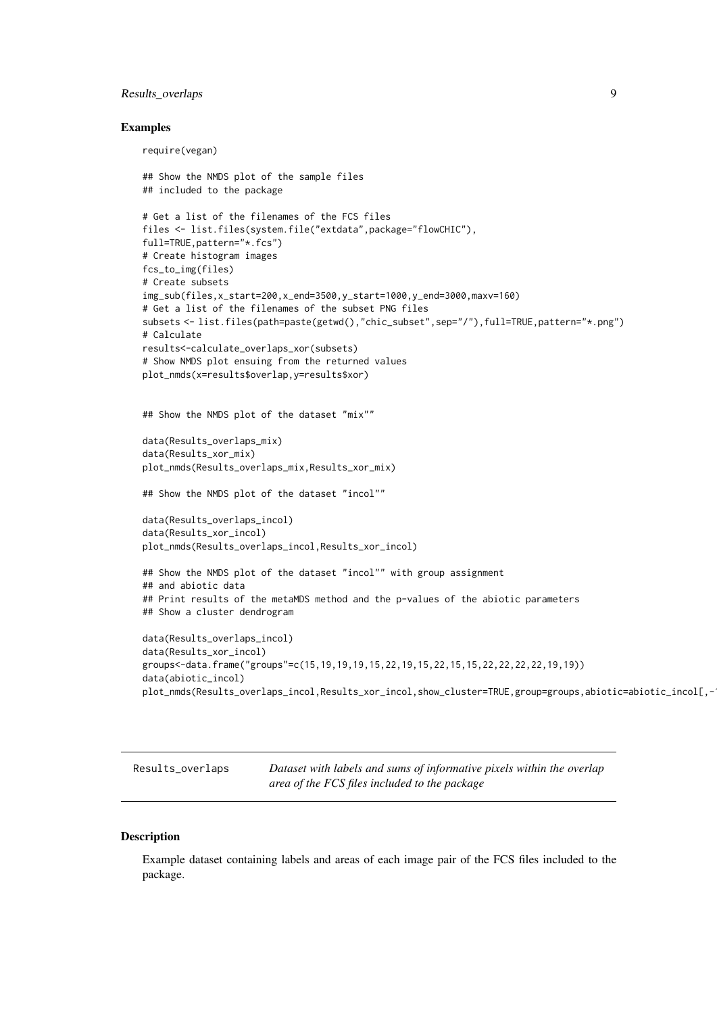### <span id="page-8-0"></span>Results\_overlaps 9

#### Examples

require(vegan)

```
## Show the NMDS plot of the sample files
## included to the package
# Get a list of the filenames of the FCS files
files <- list.files(system.file("extdata",package="flowCHIC"),
full=TRUE,pattern="*.fcs")
# Create histogram images
fcs_to_img(files)
# Create subsets
img_sub(files,x_start=200,x_end=3500,y_start=1000,y_end=3000,maxv=160)
# Get a list of the filenames of the subset PNG files
subsets <- list.files(path=paste(getwd(),"chic_subset",sep="/"),full=TRUE,pattern="*.png")
# Calculate
results<-calculate_overlaps_xor(subsets)
# Show NMDS plot ensuing from the returned values
plot_nmds(x=results$overlap,y=results$xor)
## Show the NMDS plot of the dataset "mix""
data(Results_overlaps_mix)
data(Results_xor_mix)
plot_nmds(Results_overlaps_mix,Results_xor_mix)
## Show the NMDS plot of the dataset "incol""
data(Results_overlaps_incol)
data(Results_xor_incol)
plot_nmds(Results_overlaps_incol,Results_xor_incol)
## Show the NMDS plot of the dataset "incol"" with group assignment
## and abiotic data
## Print results of the metaMDS method and the p-values of the abiotic parameters
## Show a cluster dendrogram
data(Results_overlaps_incol)
data(Results_xor_incol)
groups<-data.frame("groups"=c(15,19,19,19,15,22,19,15,22,15,15,22,22,22,22,19,19))
data(abiotic_incol)
plot_nmds(Results_overlaps_incol,Results_xor_incol,show_cluster=TRUE,group=groups,abiotic=abiotic_incol[,-
```
Results\_overlaps *Dataset with labels and sums of informative pixels within the overlap area of the FCS files included to the package*

# Description

Example dataset containing labels and areas of each image pair of the FCS files included to the package.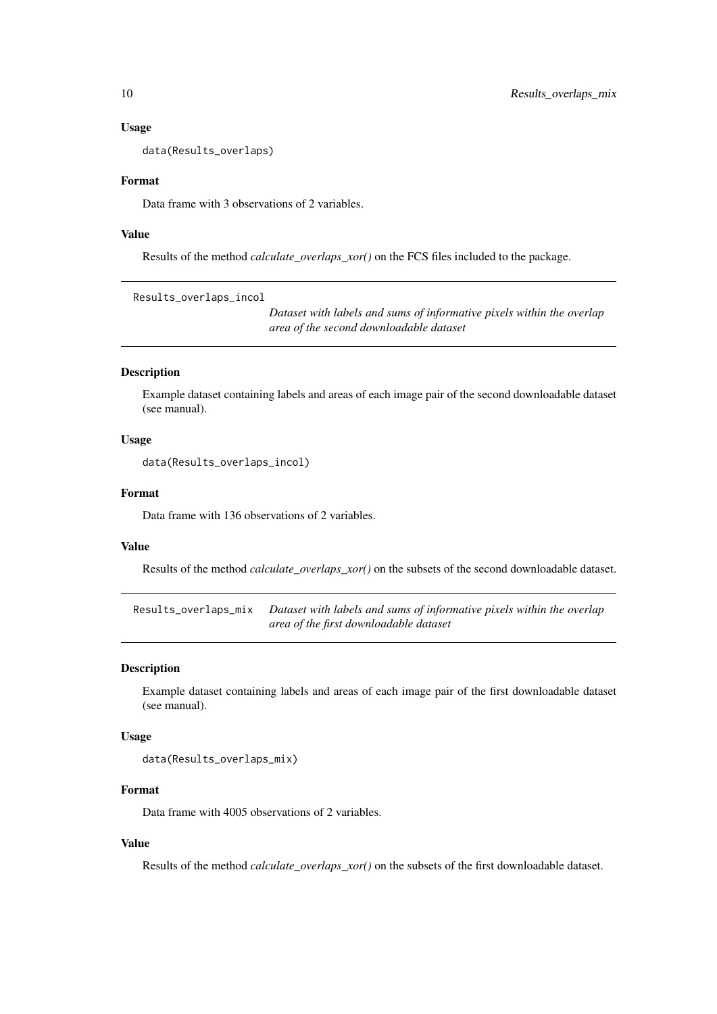# Usage

data(Results\_overlaps)

# Format

Data frame with 3 observations of 2 variables.

# Value

Results of the method *calculate\_overlaps\_xor()* on the FCS files included to the package.

Results\_overlaps\_incol

*Dataset with labels and sums of informative pixels within the overlap area of the second downloadable dataset*

#### Description

Example dataset containing labels and areas of each image pair of the second downloadable dataset (see manual).

# Usage

```
data(Results_overlaps_incol)
```
#### Format

Data frame with 136 observations of 2 variables.

# Value

Results of the method *calculate\_overlaps\_xor()* on the subsets of the second downloadable dataset.

Results\_overlaps\_mix *Dataset with labels and sums of informative pixels within the overlap area of the first downloadable dataset*

#### Description

Example dataset containing labels and areas of each image pair of the first downloadable dataset (see manual).

# Usage

data(Results\_overlaps\_mix)

#### Format

Data frame with 4005 observations of 2 variables.

# Value

Results of the method *calculate\_overlaps\_xor()* on the subsets of the first downloadable dataset.

<span id="page-9-0"></span>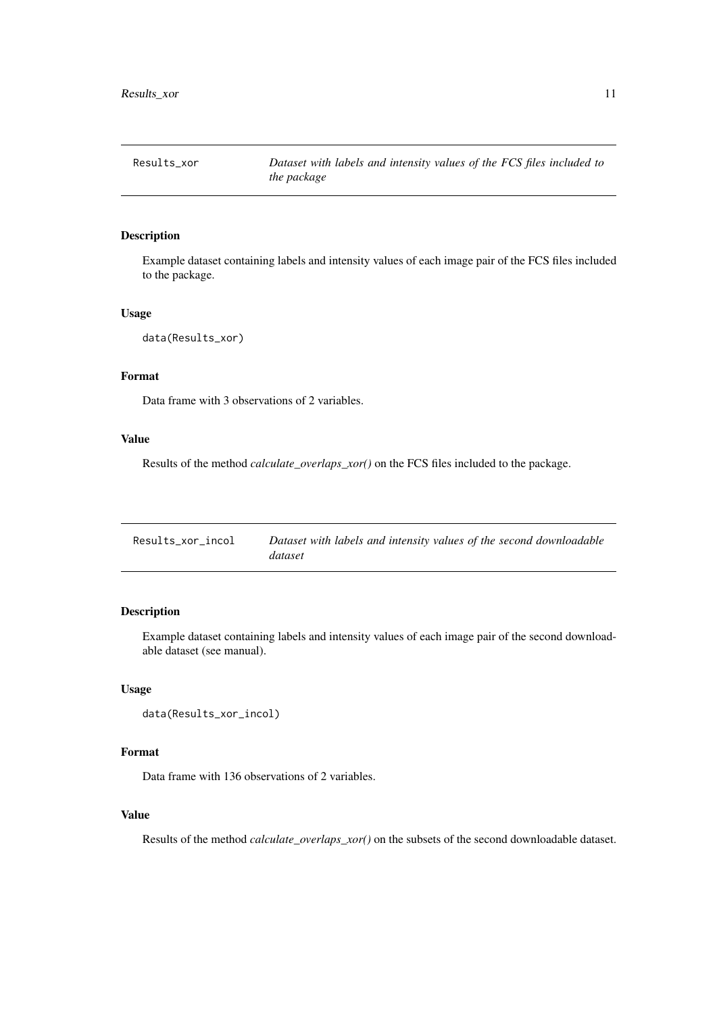<span id="page-10-0"></span>

# Description

Example dataset containing labels and intensity values of each image pair of the FCS files included to the package.

# Usage

```
data(Results_xor)
```
# Format

Data frame with 3 observations of 2 variables.

# Value

Results of the method *calculate\_overlaps\_xor()* on the FCS files included to the package.

| Results_xor_incol | Dataset with labels and intensity values of the second downloadable |
|-------------------|---------------------------------------------------------------------|
|                   | dataset                                                             |

# Description

Example dataset containing labels and intensity values of each image pair of the second downloadable dataset (see manual).

# Usage

```
data(Results_xor_incol)
```
# Format

Data frame with 136 observations of 2 variables.

# Value

Results of the method *calculate\_overlaps\_xor()* on the subsets of the second downloadable dataset.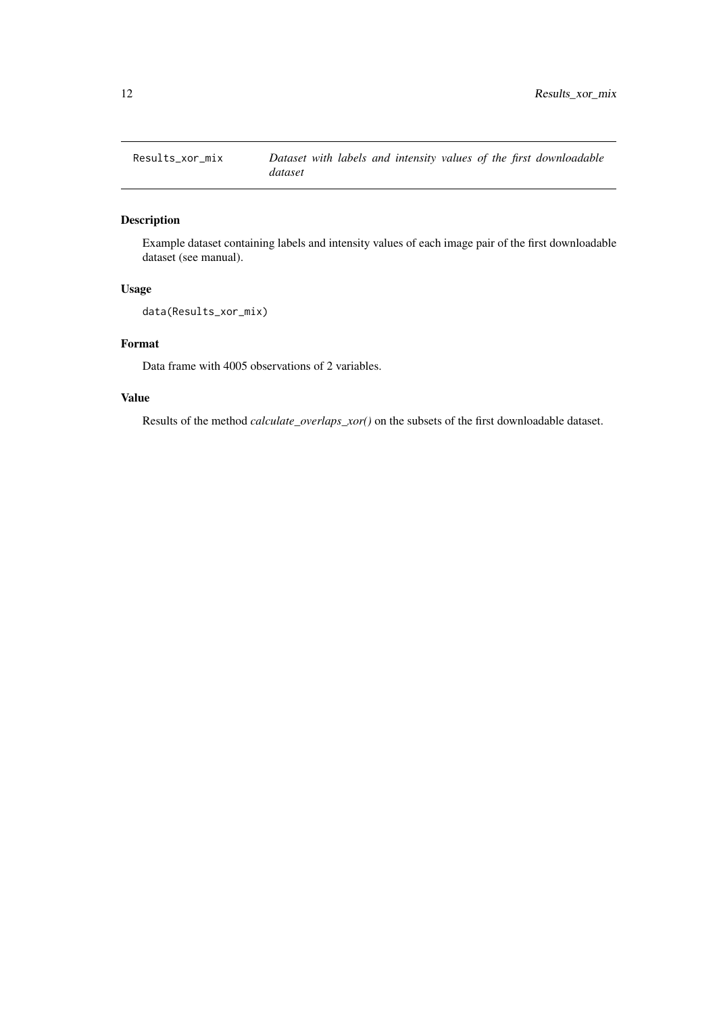<span id="page-11-0"></span>

# Description

Example dataset containing labels and intensity values of each image pair of the first downloadable dataset (see manual).

# Usage

```
data(Results_xor_mix)
```
# Format

Data frame with 4005 observations of 2 variables.

# Value

Results of the method *calculate\_overlaps\_xor()* on the subsets of the first downloadable dataset.